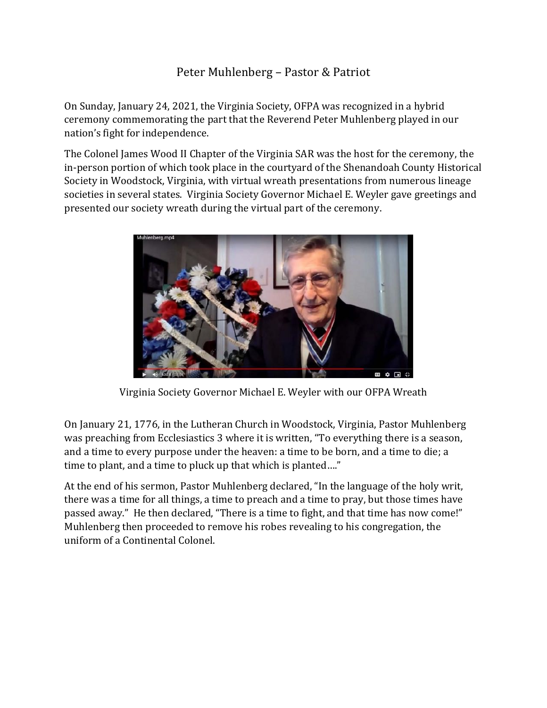## Peter Muhlenberg – Pastor & Patriot

On Sunday, January 24, 2021, the Virginia Society, OFPA was recognized in a hybrid ceremony commemorating the part that the Reverend Peter Muhlenberg played in our nation's fight for independence.

The Colonel James Wood II Chapter of the Virginia SAR was the host for the ceremony, the in-person portion of which took place in the courtyard of the Shenandoah County Historical Society in Woodstock, Virginia, with virtual wreath presentations from numerous lineage societies in several states. Virginia Society Governor Michael E. Weyler gave greetings and presented our society wreath during the virtual part of the ceremony.



Virginia Society Governor Michael E. Weyler with our OFPA Wreath

On January 21, 1776, in the Lutheran Church in Woodstock, Virginia, Pastor Muhlenberg was preaching from Ecclesiastics 3 where it is written, "To everything there is a season, and a time to every purpose under the heaven: a time to be born, and a time to die; a time to plant, and a time to pluck up that which is planted...."

At the end of his sermon, Pastor Muhlenberg declared, "In the language of the holy writ, there was a time for all things, a time to preach and a time to pray, but those times have passed away." He then declared, "There is a time to fight, and that time has now come!" Muhlenberg then proceeded to remove his robes revealing to his congregation, the uniform of a Continental Colonel.